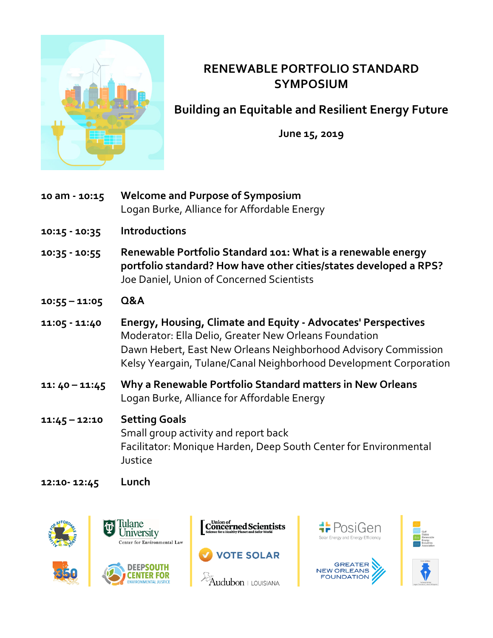

## **RENEWABLE PORTFOLIO STANDARD SYMPOSIUM**

**Building an Equitable and Resilient Energy Future**

**June 15, 2019**

- **10 am - 10:15 Welcome and Purpose of Symposium**  Logan Burke, Alliance for Affordable Energy
- **10:15 - 10:35 Introductions**
- **10:35 - 10:55 Renewable Portfolio Standard 101: What is a renewable energy portfolio standard? How have other cities/states developed a RPS?** Joe Daniel, Union of Concerned Scientists
- **10:55 – 11:05 Q&A**
- **11:05 - 11:40 Energy, Housing, Climate and Equity - Advocates' Perspectives** Moderator: Ella Delio, Greater New Orleans Foundation Dawn Hebert, East New Orleans Neighborhood Advisory Commission Kelsy Yeargain, Tulane/Canal Neighborhood Development Corporation
- **11: 40 – 11:45 Why a Renewable Portfolio Standard matters in New Orleans** Logan Burke, Alliance for Affordable Energy

## **11:45 – 12:10 Setting Goals** Small group activity and report back Facilitator: Monique Harden, Deep South Center for Environmental Justice

**12:10- 12:45 Lunch**











**GREATER** 

NEW ORLEANS<br>FOUNDATION